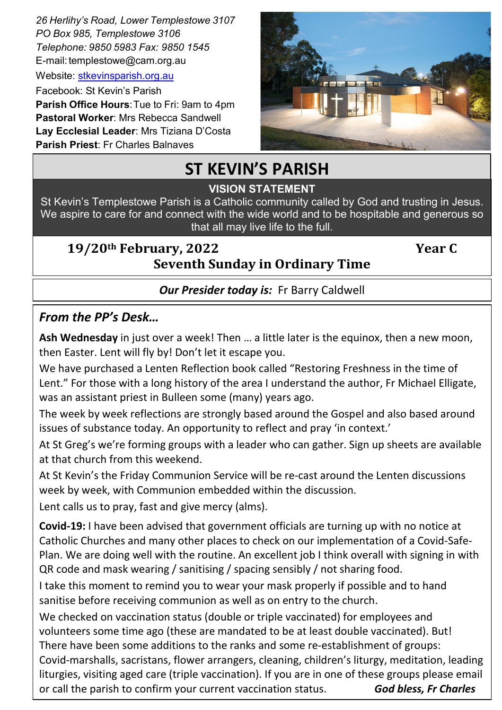*26 Herlihy's Road, Lower Templestowe 3107 PO Box 985, Templestowe 3106 Telephone: 9850 5983 Fax: 9850 1545* E-mail: templestowe@cam.org.au

Website: [stkevinsparish.org.au](http://pol.org.au/templestowe/Home.aspx)

Facebook: St Kevin's Parish **Parish Office Hours**:Tue to Fri: 9am to 4pm **Pastoral Worker**: Mrs Rebecca Sandwell **Lay Ecclesial Leader**: Mrs Tiziana D'Costa **Parish Priest**: Fr Charles Balnaves



# **ST KEVIN'S PARISH**

# St. Kevin's is a welcoming community founded on the Father's LOVE for us and by giving service to all. **VISION STATEMENT**

St Kevin's Templestowe Parish is a Catholic community called by God and trusting in Jesus. We aspire to care for and connect with the wide world and to be hospitable and generous so that all may live life to the full.

# **19/20th February, 2022 Year C Seventh Sunday in Ordinary Time**

# *Our Presider today is:* Fr Barry Caldwell

# *From the PP's Desk…*

**Ash Wednesday** in just over a week! Then … a little later is the equinox, then a new moon, then Easter. Lent will fly by! Don't let it escape you.

We have purchased a Lenten Reflection book called "Restoring Freshness in the time of Lent." For those with a long history of the area I understand the author, Fr Michael Elligate, was an assistant priest in Bulleen some (many) years ago.

The week by week reflections are strongly based around the Gospel and also based around issues of substance today. An opportunity to reflect and pray 'in context.'

At St Greg's we're forming groups with a leader who can gather. Sign up sheets are available at that church from this weekend.

At St Kevin's the Friday Communion Service will be re-cast around the Lenten discussions week by week, with Communion embedded within the discussion.

Lent calls us to pray, fast and give mercy (alms).

**Covid-19:** I have been advised that government officials are turning up with no notice at Catholic Churches and many other places to check on our implementation of a Covid-Safe-Plan. We are doing well with the routine. An excellent job I think overall with signing in with QR code and mask wearing / sanitising / spacing sensibly / not sharing food.

I take this moment to remind you to wear your mask properly if possible and to hand sanitise before receiving communion as well as on entry to the church.

We checked on vaccination status (double or triple vaccinated) for employees and volunteers some time ago (these are mandated to be at least double vaccinated). But! There have been some additions to the ranks and some re-establishment of groups: Covid-marshalls, sacristans, flower arrangers, cleaning, children's liturgy, meditation, leading liturgies, visiting aged care (triple vaccination). If you are in one of these groups please email or call the parish to confirm your current vaccination status. *God bless, Fr Charles*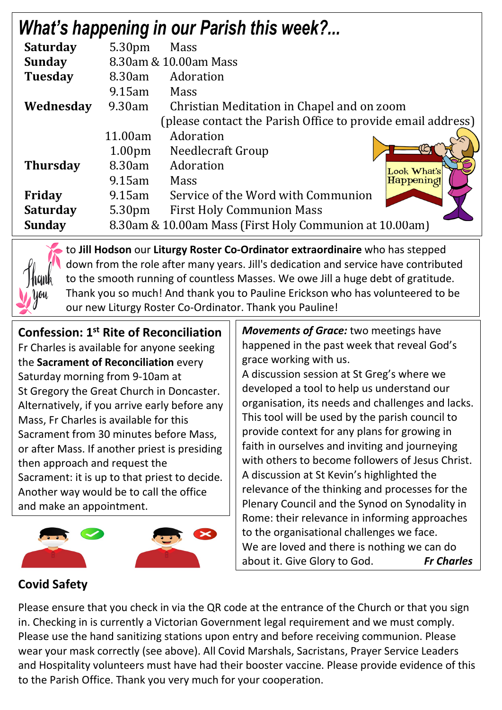|                 |                                                         | <b>What's happening in our Parish this week?</b>            |  |
|-----------------|---------------------------------------------------------|-------------------------------------------------------------|--|
| <b>Saturday</b> | 5.30pm                                                  | Mass                                                        |  |
| <b>Sunday</b>   | 8.30am & 10.00am Mass                                   |                                                             |  |
| <b>Tuesday</b>  | 8.30am                                                  | Adoration                                                   |  |
|                 | $9.15$ am                                               | Mass                                                        |  |
| Wednesday       | 9.30am                                                  | Christian Meditation in Chapel and on zoom                  |  |
|                 |                                                         | (please contact the Parish Office to provide email address) |  |
|                 | 11.00am                                                 | Adoration                                                   |  |
|                 | 1.00 <sub>pm</sub>                                      | Needlecraft Group                                           |  |
| <b>Thursday</b> | 8.30am                                                  | Adoration<br>Look What's                                    |  |
|                 | $9.15$ am                                               | Happening!<br><b>Mass</b>                                   |  |
| Friday          | $9.15$ am                                               | Service of the Word with Communion                          |  |
| <b>Saturday</b> | 5.30pm                                                  | <b>First Holy Communion Mass</b>                            |  |
| <b>Sunday</b>   | 8.30am & 10.00am Mass (First Holy Communion at 10.00am) |                                                             |  |

to **Jill Hodson** our **Liturgy Roster Co-Ordinator extraordinaire** who has stepped down from the role after many years. Jill's dedication and service have contributed to the smooth running of countless Masses. We owe Jill a huge debt of gratitude. Thank you so much! And thank you to Pauline Erickson who has volunteered to be our new Liturgy Roster Co-Ordinator. Thank you Pauline!

**Confession: 1st Rite of Reconciliation** Fr Charles is available for anyone seeking the **Sacrament of Reconciliation** every Saturday morning from 9-10am at St Gregory the Great Church in Doncaster. Alternatively, if you arrive early before any Mass, Fr Charles is available for this Sacrament from 30 minutes before Mass, or after Mass. If another priest is presiding then approach and request the Sacrament: it is up to that priest to decide. Another way would be to call the office and make an appointment.



*Movements of Grace:* two meetings have happened in the past week that reveal God's grace working with us.

A discussion session at St Greg's where we developed a tool to help us understand our organisation, its needs and challenges and lacks. This tool will be used by the parish council to provide context for any plans for growing in faith in ourselves and inviting and journeying with others to become followers of Jesus Christ. A discussion at St Kevin's highlighted the relevance of the thinking and processes for the Plenary Council and the Synod on Synodality in Rome: their relevance in informing approaches to the organisational challenges we face. We are loved and there is nothing we can do about it. Give Glory to God. *Fr Charles*

### *ST KEVIN'S CATHOLIC CHURCH SACRAMENTAL PROGRAM* **Covid Safety**

Please ensure that you check in via the QR code at the entrance of the Church or that you sign in. Checking in is currently a Victorian Government legal requirement and we must comply. Please use the hand sanitizing stations upon entry and before receiving communion. Please wear your mask correctly (see above). All Covid Marshals, Sacristans, Prayer Service Leaders and Hospitality volunteers must have had their booster vaccine. Please provide evidence of this to the Parish Office. Thank you very much for your cooperation.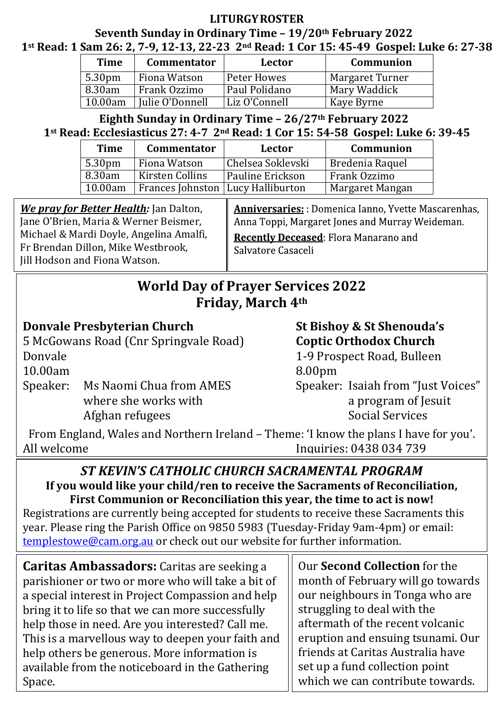# **LITURGYROSTER**

# **Seventh Sunday in Ordinary Time – 19/20th February 2022 1st Read: 1 Sam 26: 2, 7-9, 12-13, 22-23 2nd Read: 1 Cor 15: 45-49 Gospel: Luke 6: 27-38**

| <b>Time</b>        | <b>Commentator</b> | Lector        | Communion       |
|--------------------|--------------------|---------------|-----------------|
| 5.30 <sub>pm</sub> | Fiona Watson       | Peter Howes   | Margaret Turner |
| 8.30am             | Frank Ozzimo       | Paul Polidano | Mary Waddick    |
| 10.00am            | Julie O'Donnell    | Liz O'Connell | Kaye Byrne      |

## **Eighth Sunday in Ordinary Time – 26/27th February 2022 1st Read: Ecclesiasticus 27: 4-7 2nd Read: 1 Cor 15: 54-58 Gospel: Luke 6: 39-45**

| <b>Time</b>        | <b>Commentator</b>                  | Lector            | Communion       |
|--------------------|-------------------------------------|-------------------|-----------------|
| 5.30 <sub>pm</sub> | Fiona Watson                        | Chelsea Soklevski | Bredenia Raquel |
| 8.30am             | Kirsten Collins                     | Pauline Erickson  | Frank Ozzimo    |
| 10.00am            | Frances Johnston   Lucy Halliburton |                   | Margaret Mangan |

*We pray for Better Health:* Jan Dalton, Jane O'Brien, Maria & Werner Beismer, Michael & Mardi Doyle, Angelina Amalfi, Fr Brendan Dillon, Mike Westbrook, Jill Hodson and Fiona Watson.

**Anniversaries:**: Domenica Ianno, Yvette Mascarenhas, Anna Toppi, Margaret Jones and Murray Weideman.

Recently Deceased: Flora Manarano and Salvatore Casaceli

# **World Day of Prayer Services 2022 Friday, March 4th**

# **Donvale Presbyterian Church St Bishoy & St Shenouda's**

5 McGowans Road (Cnr Springvale Road) **Coptic Orthodox Church** Donvale 1-9 Prospect Road, Bulleen 10.00am 8.00pm

Speaker: Ms Naomi Chua from AMES Speaker: Isaiah from "Just Voices"<br>where she works with a program of Iesuit where she works with a program of Jesuit Afghan refugees and a program of Jesuit Afghan refugees Afghan refugees

From England, Wales and Northern Ireland – Theme: 'I know the plans I have for you'. Inquiries: 0438 034 739

# *ST KEVIN'S CATHOLIC CHURCH SACRAMENTAL PROGRAM* **If you would like your child/ren to receive the Sacraments of Reconciliation, First Communion or Reconciliation this year, the time to act is now!**

Registrations are currently being accepted for students to receive these Sacraments this year. Please ring the Parish Office on 9850 5983 (Tuesday-Friday 9am-4pm) or email: [templestowe@cam.org.au](mailto:templestowe@cam.org.au) or check out our website for further information.

**Caritas Ambassadors:** Caritas are seeking a parishioner or two or more who will take a bit of a special interest in Project Compassion and help bring it to life so that we can more successfully help those in need. Are you interested? Call me. This is a marvellous way to deepen your faith and help others be generous. More information is available from the noticeboard in the Gathering Space.

Our **Second Collection** for the month of February will go towards our neighbours in Tonga who are struggling to deal with the aftermath of the recent volcanic eruption and ensuing tsunami. Our friends at Caritas Australia have set up a fund collection point which we can contribute towards.